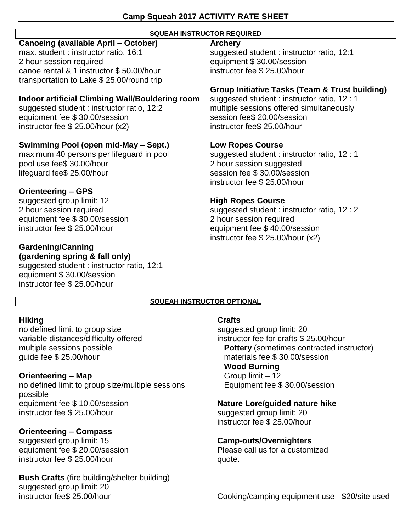### **Camp Squeah 2017 ACTIVITY RATE SHEET**

### **SQUEAH INSTRUCTOR REQUIRED**

### **Canoeing (available April – October)**

max. student : instructor ratio, 16:1 2 hour session required canoe rental & 1 instructor \$ 50.00/hour transportation to Lake \$ 25.00/round trip

### **Indoor artificial Climbing Wall/Bouldering room**

suggested student : instructor ratio, 12:2 equipment fee \$ 30.00/session instructor fee \$ 25.00/hour (x2)

# **Swimming Pool (open mid-May – Sept.)**

maximum 40 persons per lifeguard in pool pool use fee\$ 30.00/hour lifeguard fee\$ 25.00/hour

# **Orienteering – GPS**

suggested group limit: 12 2 hour session required equipment fee \$ 30.00/session instructor fee \$ 25.00/hour

### **Gardening/Canning (gardening spring & fall only)**

suggested student : instructor ratio, 12:1 equipment \$ 30.00/session instructor fee \$ 25.00/hour

### **Archery**

suggested student : instructor ratio, 12:1 equipment \$ 30.00/session instructor fee \$ 25.00/hour

# **Group Initiative Tasks (Team & Trust building)**

suggested student : instructor ratio, 12 : 1 multiple sessions offered simultaneously session fee\$ 20.00/session instructor fee\$ 25.00/hour

### **Low Ropes Course**

suggested student : instructor ratio, 12 : 1 2 hour session suggested session fee \$ 30.00/session instructor fee \$ 25.00/hour

# **High Ropes Course**

suggested student : instructor ratio, 12 : 2 2 hour session required equipment fee \$ 40.00/session instructor fee \$ 25.00/hour (x2)

### **SQUEAH INSTRUCTOR OPTIONAL**

### **Hiking**

no defined limit to group size variable distances/difficulty offered multiple sessions possible guide fee \$ 25.00/hour

# **Orienteering – Map**

no defined limit to group size/multiple sessions possible equipment fee \$ 10.00/session instructor fee \$ 25.00/hour

# **Orienteering – Compass**

suggested group limit: 15 equipment fee \$ 20.00/session instructor fee \$ 25.00/hour

**Bush Crafts** (fire building/shelter building) suggested group limit: 20 instructor fee\$ 25.00/hour

### **Crafts**

suggested group limit: 20 instructor fee for crafts \$ 25.00/hour **Pottery** (sometimes contracted instructor) materials fee \$ 30.00/session **Wood Burning** Group limit – 12 Equipment fee \$ 30.00/session

# **Nature Lore/guided nature hike**

suggested group limit: 20 instructor fee \$ 25.00/hour

# **Camp-outs/Overnighters**

\_\_\_\_\_\_\_\_\_

Please call us for a customized quote.

Cooking/camping equipment use - \$20/site used